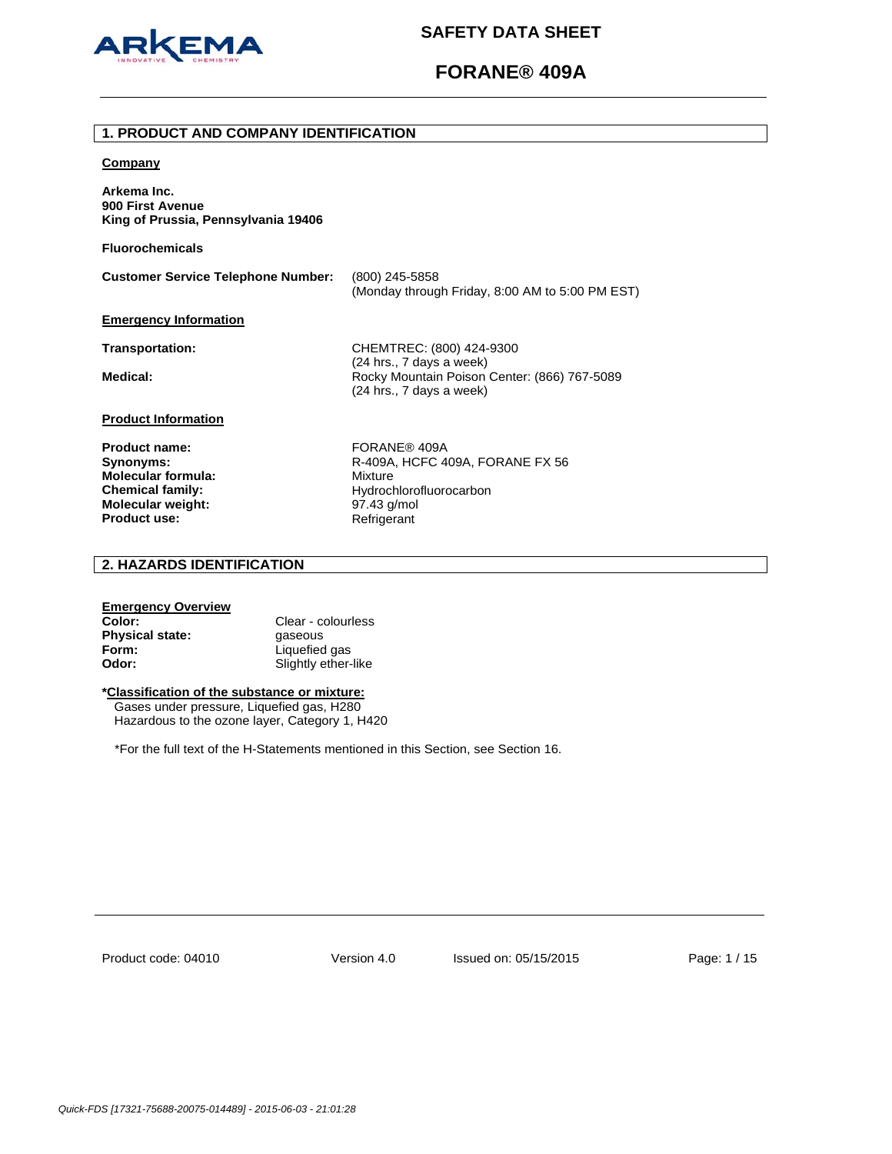

# **FORANE® 409A**

### **1. PRODUCT AND COMPANY IDENTIFICATION**

### **Company**

**Arkema Inc. 900 First Avenue King of Prussia, Pennsylvania 19406** 

**Fluorochemicals**

**Customer Service Telephone Number:** (800) 245-5858 (Monday through Friday, 8:00 AM to 5:00 PM EST) **Emergency Information**

**Transportation:** CHEMTREC: (800) 424-9300 (24 hrs., 7 days a week) Medical: **Medical: Rocky Mountain Poison Center: (866) 767-5089** (24 hrs., 7 days a week)

## **Product Information**

**Product name:** FORANE® 409A **Molecular formula:** Mixture **Molecular weight:** 97.43 g/mol<br>**Product use:** Refrigerant **Product use:** 

**Synonyms: R-409A, HCFC 409A, FORANE FX 56 Chemical family:** Hydrochlorofluorocarbon<br> **Molecular weight:** 97.43 g/mol

## **2. HAZARDS IDENTIFICATION**

## **Emergency Overview**

**Color:** Clear - colourless **Physical state: gaseous Form:** Liquefied gas **Odor:** Slightly ether-like

## **\*Classification of the substance or mixture:**

Gases under pressure, Liquefied gas, H280 Hazardous to the ozone layer, Category 1, H420

\*For the full text of the H-Statements mentioned in this Section, see Section 16.

Product code: 04010

Version 4.0 Issued on: 05/15/2015 Page: 1 / 15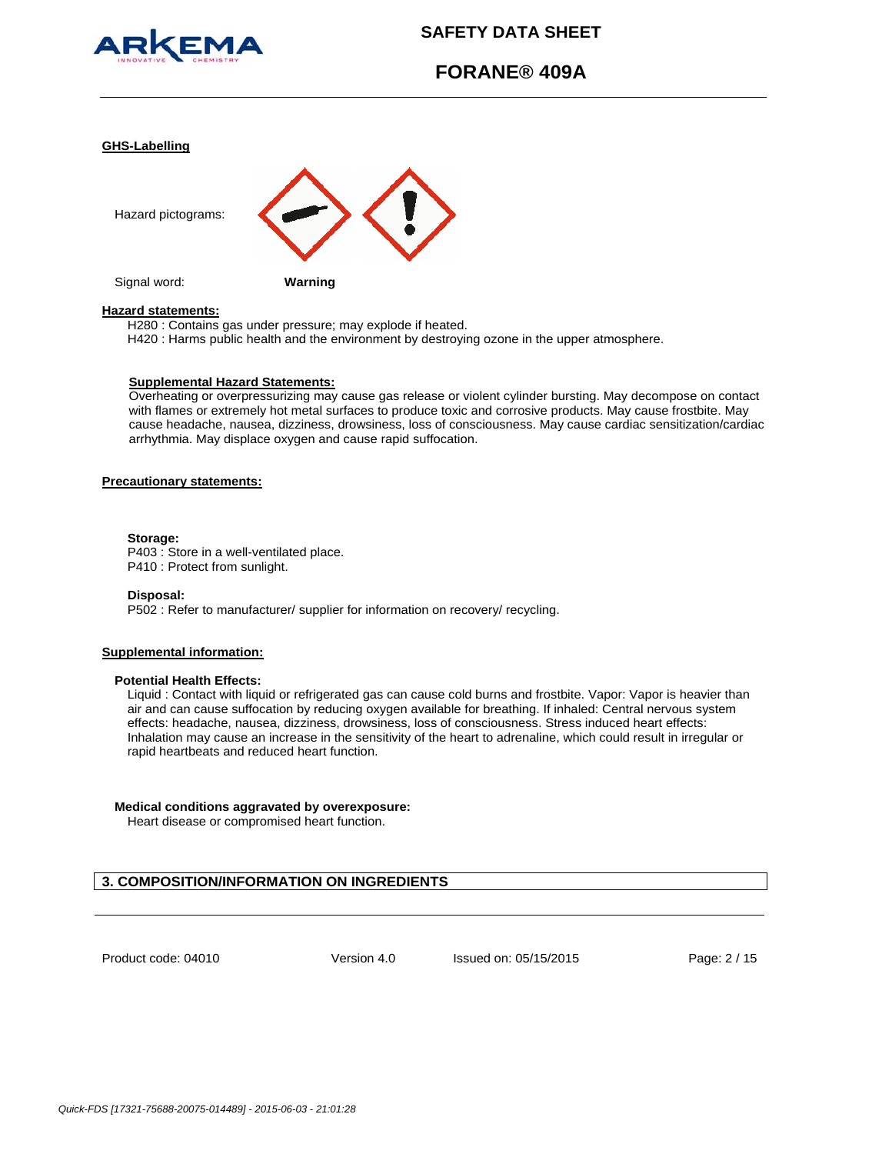

# **FORANE® 409A**

#### **GHS-Labelling**



#### **Hazard statements:**

H280 : Contains gas under pressure; may explode if heated.

H420 : Harms public health and the environment by destroying ozone in the upper atmosphere.

#### **Supplemental Hazard Statements:**

Overheating or overpressurizing may cause gas release or violent cylinder bursting. May decompose on contact with flames or extremely hot metal surfaces to produce toxic and corrosive products. May cause frostbite. May cause headache, nausea, dizziness, drowsiness, loss of consciousness. May cause cardiac sensitization/cardiac arrhythmia. May displace oxygen and cause rapid suffocation.

## **Precautionary statements:**

#### **Storage:**

P403 : Store in a well-ventilated place. P410 : Protect from sunlight.

#### **Disposal:**

P502 : Refer to manufacturer/ supplier for information on recovery/ recycling.

### **Supplemental information:**

### **Potential Health Effects:**

Liquid : Contact with liquid or refrigerated gas can cause cold burns and frostbite. Vapor: Vapor is heavier than air and can cause suffocation by reducing oxygen available for breathing. If inhaled: Central nervous system effects: headache, nausea, dizziness, drowsiness, loss of consciousness. Stress induced heart effects: Inhalation may cause an increase in the sensitivity of the heart to adrenaline, which could result in irregular or rapid heartbeats and reduced heart function.

### **Medical conditions aggravated by overexposure:**

Heart disease or compromised heart function.

## **3. COMPOSITION/INFORMATION ON INGREDIENTS**

Product code: 04010

Version 4.0 Issued on: 05/15/2015 Page: 2 / 15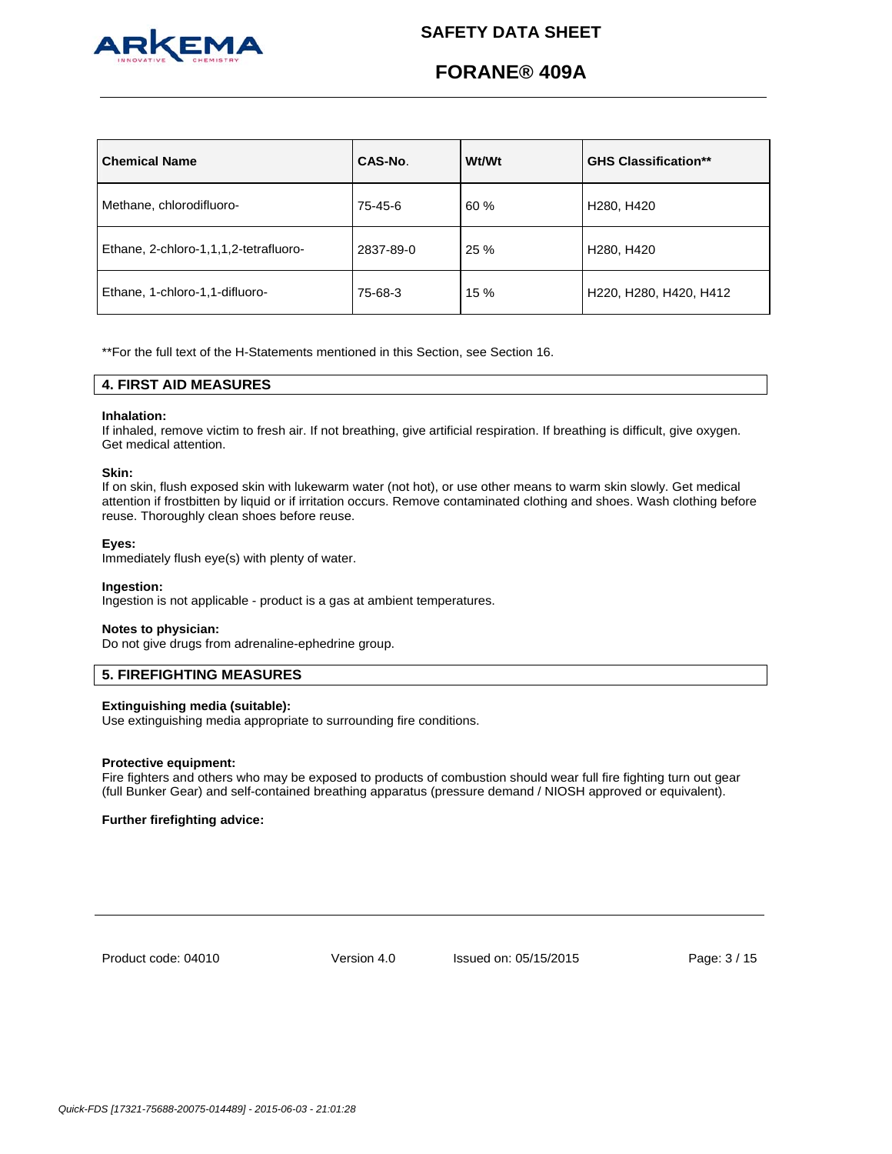

# **FORANE® 409A**

| <b>Chemical Name</b>                  | CAS-No.   | Wt/Wt | <b>GHS Classification**</b>         |
|---------------------------------------|-----------|-------|-------------------------------------|
| Methane, chlorodifluoro-              | 75-45-6   | 60 %  | H <sub>280</sub> , H <sub>420</sub> |
| Ethane, 2-chloro-1,1,1,2-tetrafluoro- | 2837-89-0 | 25 %  | H <sub>280</sub> , H <sub>420</sub> |
| Ethane, 1-chloro-1,1-difluoro-        | 75-68-3   | 15 %  | H220, H280, H420, H412              |

\*\*For the full text of the H-Statements mentioned in this Section, see Section 16.

## **4. FIRST AID MEASURES**

### **Inhalation:**

If inhaled, remove victim to fresh air. If not breathing, give artificial respiration. If breathing is difficult, give oxygen. Get medical attention.

#### **Skin:**

If on skin, flush exposed skin with lukewarm water (not hot), or use other means to warm skin slowly. Get medical attention if frostbitten by liquid or if irritation occurs. Remove contaminated clothing and shoes. Wash clothing before reuse. Thoroughly clean shoes before reuse.

#### **Eyes:**

Immediately flush eye(s) with plenty of water.

#### **Ingestion:**

Ingestion is not applicable - product is a gas at ambient temperatures.

#### **Notes to physician:**

Do not give drugs from adrenaline-ephedrine group.

## **5. FIREFIGHTING MEASURES**

#### **Extinguishing media (suitable):**

Use extinguishing media appropriate to surrounding fire conditions.

#### **Protective equipment:**

Fire fighters and others who may be exposed to products of combustion should wear full fire fighting turn out gear (full Bunker Gear) and self-contained breathing apparatus (pressure demand / NIOSH approved or equivalent).

## **Further firefighting advice:**

Product code: 04010

Version 4.0 Issued on: 05/15/2015 Page: 3 / 15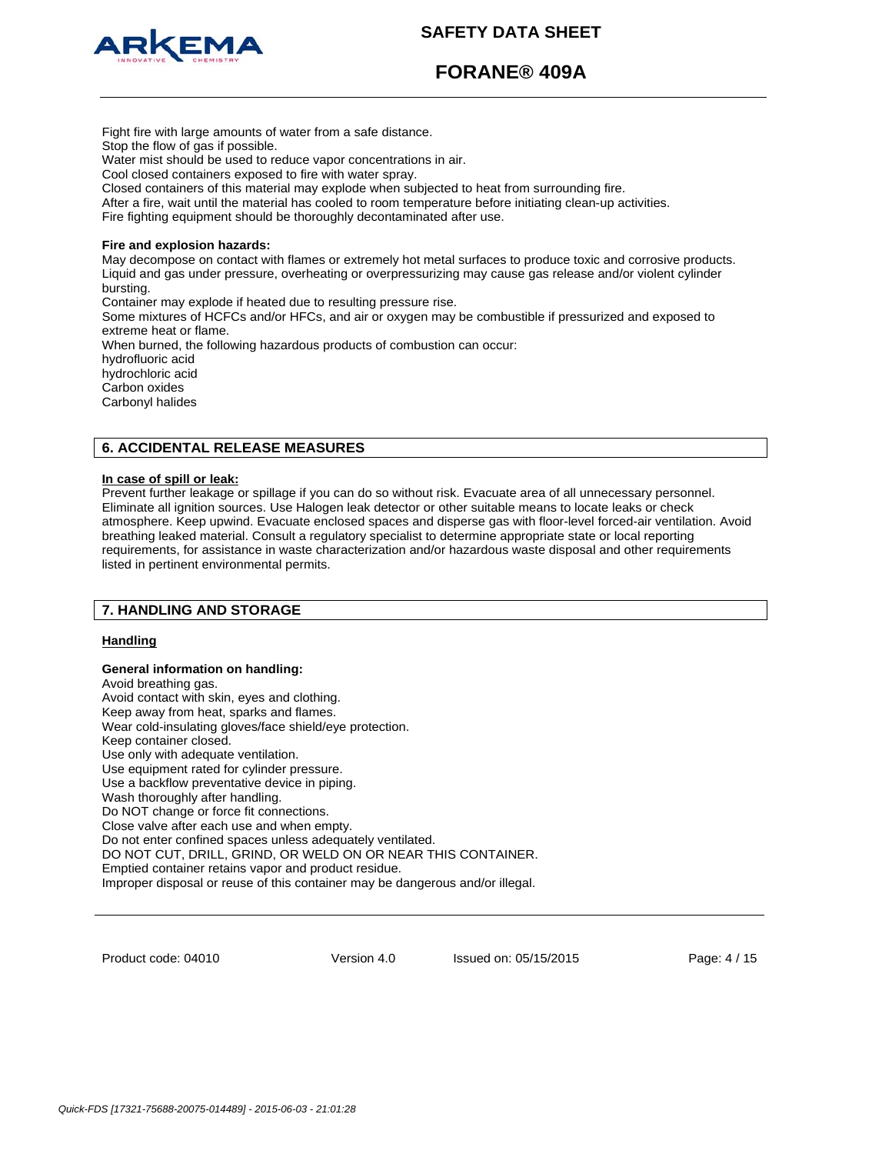



**FORANE® 409A**

Stop the flow of gas if possible. Water mist should be used to reduce vapor concentrations in air. Cool closed containers exposed to fire with water spray. Closed containers of this material may explode when subjected to heat from surrounding fire. After a fire, wait until the material has cooled to room temperature before initiating clean-up activities. Fire fighting equipment should be thoroughly decontaminated after use. **Fire and explosion hazards:** May decompose on contact with flames or extremely hot metal surfaces to produce toxic and corrosive products. Liquid and gas under pressure, overheating or overpressurizing may cause gas release and/or violent cylinder bursting. Container may explode if heated due to resulting pressure rise. Some mixtures of HCFCs and/or HFCs, and air or oxygen may be combustible if pressurized and exposed to extreme heat or flame. When burned, the following hazardous products of combustion can occur: hydrofluoric acid hydrochloric acid Carbon oxides Carbonyl halides

## **6. ACCIDENTAL RELEASE MEASURES**

Fight fire with large amounts of water from a safe distance.

## **In case of spill or leak:**

Prevent further leakage or spillage if you can do so without risk. Evacuate area of all unnecessary personnel. Eliminate all ignition sources. Use Halogen leak detector or other suitable means to locate leaks or check atmosphere. Keep upwind. Evacuate enclosed spaces and disperse gas with floor-level forced-air ventilation. Avoid breathing leaked material. Consult a regulatory specialist to determine appropriate state or local reporting requirements, for assistance in waste characterization and/or hazardous waste disposal and other requirements listed in pertinent environmental permits.

## **7. HANDLING AND STORAGE**

## **Handling**

**General information on handling:**  Avoid breathing gas. Avoid contact with skin, eyes and clothing. Keep away from heat, sparks and flames. Wear cold-insulating gloves/face shield/eye protection. Keep container closed. Use only with adequate ventilation. Use equipment rated for cylinder pressure. Use a backflow preventative device in piping. Wash thoroughly after handling. Do NOT change or force fit connections. Close valve after each use and when empty. Do not enter confined spaces unless adequately ventilated. DO NOT CUT, DRILL, GRIND, OR WELD ON OR NEAR THIS CONTAINER. Emptied container retains vapor and product residue. Improper disposal or reuse of this container may be dangerous and/or illegal.

Product code: 04010

Version 4.0 Issued on: 05/15/2015 Page: 4 / 15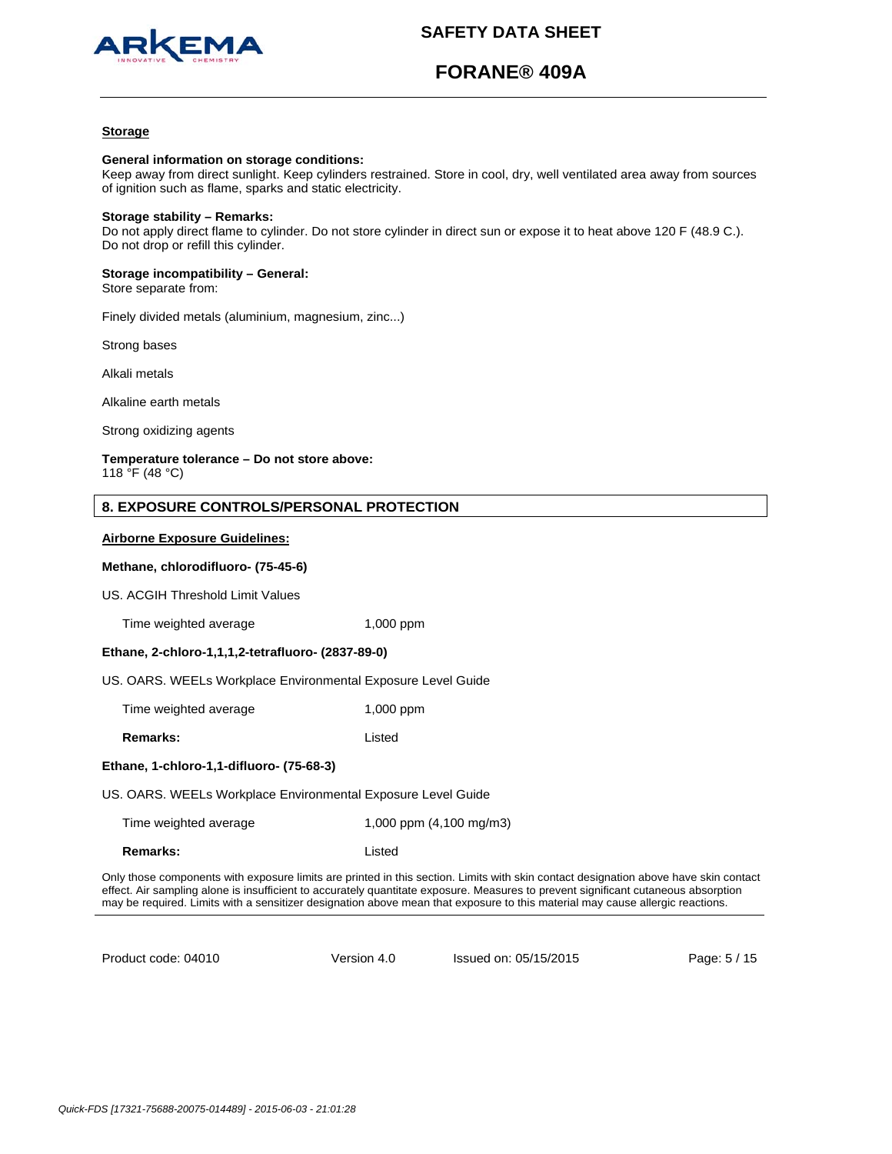

# **FORANE® 409A**

## **Storage**

#### **General information on storage conditions:**

Keep away from direct sunlight. Keep cylinders restrained. Store in cool, dry, well ventilated area away from sources of ignition such as flame, sparks and static electricity.

#### **Storage stability – Remarks:**

Do not apply direct flame to cylinder. Do not store cylinder in direct sun or expose it to heat above 120 F (48.9 C.). Do not drop or refill this cylinder.

# **Storage incompatibility – General:**

Store separate from:

Finely divided metals (aluminium, magnesium, zinc...)

Strong bases

Alkali metals

Alkaline earth metals

Strong oxidizing agents

#### **Temperature tolerance – Do not store above:** 118 °F (48 °C)

## **8. EXPOSURE CONTROLS/PERSONAL PROTECTION**

#### **Airborne Exposure Guidelines:**

### **Methane, chlorodifluoro- (75-45-6)**

US. ACGIH Threshold Limit Values

Time weighted average 1,000 ppm

## **Ethane, 2-chloro-1,1,1,2-tetrafluoro- (2837-89-0)**

US. OARS. WEELs Workplace Environmental Exposure Level Guide

Time weighted average 1,000 ppm

**Remarks:** Listed

#### **Ethane, 1-chloro-1,1-difluoro- (75-68-3)**

US. OARS. WEELs Workplace Environmental Exposure Level Guide

| Time weighted average | 1,000 ppm (4,100 mg/m3) |
|-----------------------|-------------------------|
|-----------------------|-------------------------|

**Remarks:** Listed

Only those components with exposure limits are printed in this section. Limits with skin contact designation above have skin contact effect. Air sampling alone is insufficient to accurately quantitate exposure. Measures to prevent significant cutaneous absorption may be required. Limits with a sensitizer designation above mean that exposure to this material may cause allergic reactions.

Product code: 04010

Version 4.0 Issued on: 05/15/2015 Page: 5 / 15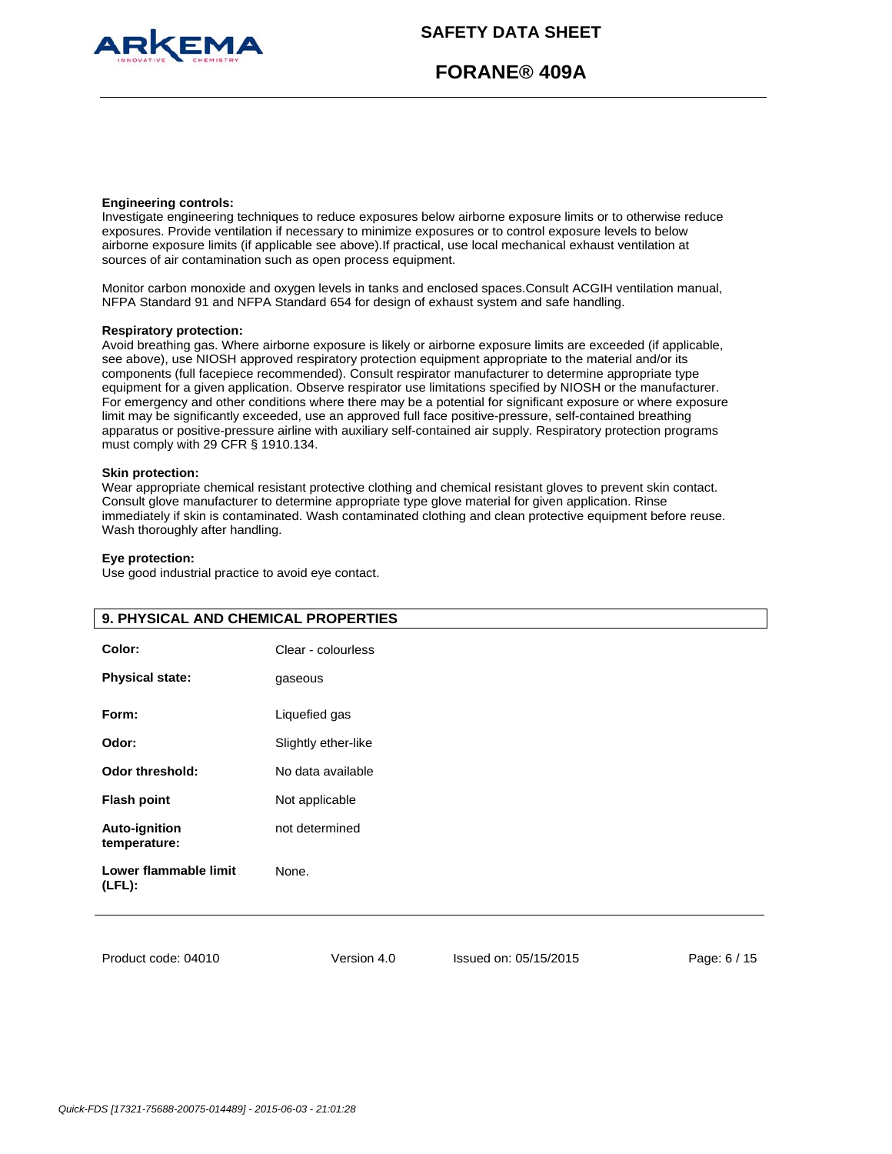

# **FORANE® 409A**

#### **Engineering controls:**

Investigate engineering techniques to reduce exposures below airborne exposure limits or to otherwise reduce exposures. Provide ventilation if necessary to minimize exposures or to control exposure levels to below airborne exposure limits (if applicable see above).If practical, use local mechanical exhaust ventilation at sources of air contamination such as open process equipment.

Monitor carbon monoxide and oxygen levels in tanks and enclosed spaces.Consult ACGIH ventilation manual, NFPA Standard 91 and NFPA Standard 654 for design of exhaust system and safe handling.

#### **Respiratory protection:**

Avoid breathing gas. Where airborne exposure is likely or airborne exposure limits are exceeded (if applicable, see above), use NIOSH approved respiratory protection equipment appropriate to the material and/or its components (full facepiece recommended). Consult respirator manufacturer to determine appropriate type equipment for a given application. Observe respirator use limitations specified by NIOSH or the manufacturer. For emergency and other conditions where there may be a potential for significant exposure or where exposure limit may be significantly exceeded, use an approved full face positive-pressure, self-contained breathing apparatus or positive-pressure airline with auxiliary self-contained air supply. Respiratory protection programs must comply with 29 CFR § 1910.134.

### **Skin protection:**

Wear appropriate chemical resistant protective clothing and chemical resistant gloves to prevent skin contact. Consult glove manufacturer to determine appropriate type glove material for given application. Rinse immediately if skin is contaminated. Wash contaminated clothing and clean protective equipment before reuse. Wash thoroughly after handling.

#### **Eye protection:**

Use good industrial practice to avoid eye contact.

|                                      | 9. PHYSICAL AND CHEMICAL PROPERTIES |  |  |
|--------------------------------------|-------------------------------------|--|--|
| Color:<br><b>Physical state:</b>     | Clear - colourless<br>gaseous       |  |  |
| Form:                                | Liquefied gas                       |  |  |
| Odor:                                | Slightly ether-like                 |  |  |
| Odor threshold:                      | No data available                   |  |  |
| <b>Flash point</b>                   | Not applicable                      |  |  |
| <b>Auto-ignition</b><br>temperature: | not determined                      |  |  |
| Lower flammable limit<br>$(LFL)$ :   | None.                               |  |  |
|                                      |                                     |  |  |

Product code: 04010

Version 4.0 Issued on: 05/15/2015 Page: 6 / 15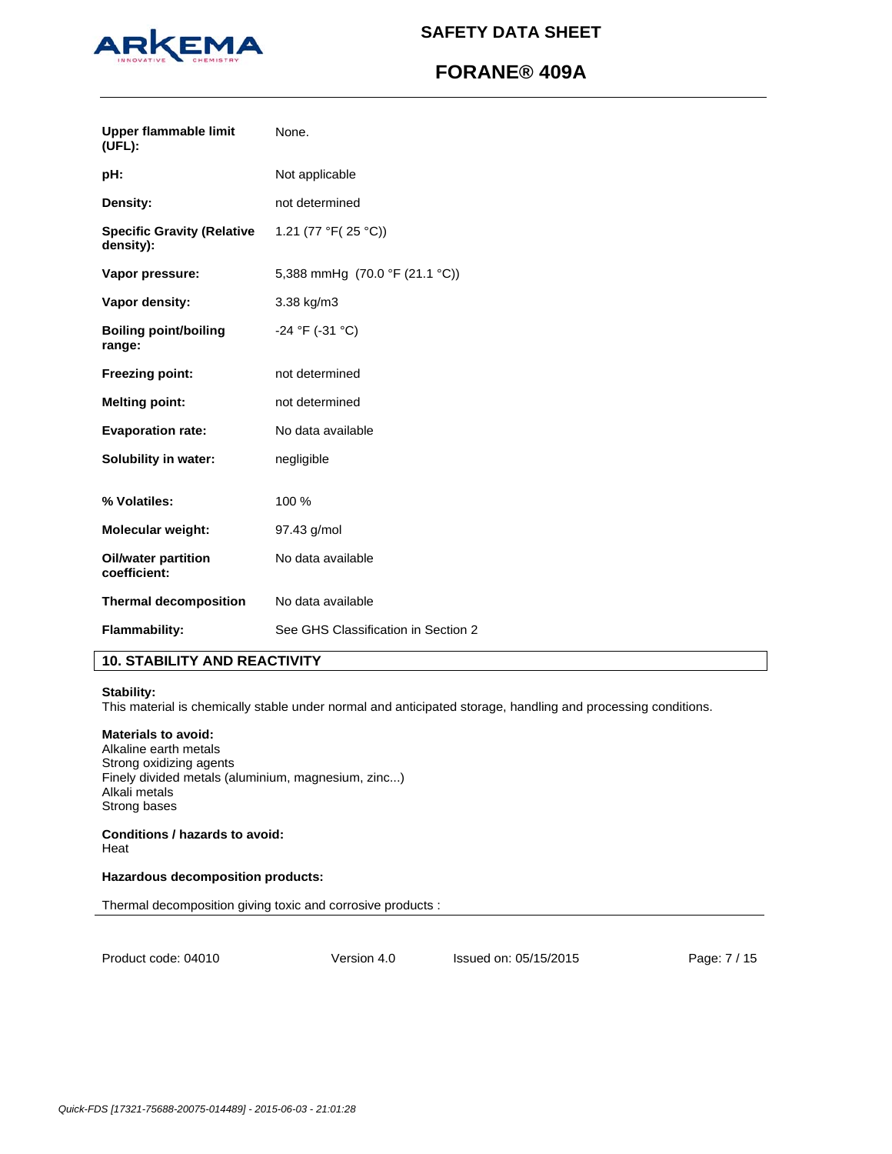

# **FORANE® 409A**

| <b>Upper flammable limit</b><br>$(UFL)$ :      | None.                               |
|------------------------------------------------|-------------------------------------|
| pH:                                            | Not applicable                      |
| Density:                                       | not determined                      |
| <b>Specific Gravity (Relative</b><br>density): | 1.21 (77 °F( $25$ °C))              |
| Vapor pressure:                                | 5,388 mmHg (70.0 °F (21.1 °C))      |
| Vapor density:                                 | 3.38 kg/m3                          |
| <b>Boiling point/boiling</b><br>range:         | $-24$ °F ( $-31$ °C)                |
| <b>Freezing point:</b>                         | not determined                      |
| <b>Melting point:</b>                          | not determined                      |
| <b>Evaporation rate:</b>                       | No data available                   |
| <b>Solubility in water:</b>                    | negligible                          |
| % Volatiles:                                   | 100 %                               |
| <b>Molecular weight:</b>                       | 97.43 g/mol                         |
| <b>Oil/water partition</b><br>coefficient:     | No data available                   |
| <b>Thermal decomposition</b>                   | No data available                   |
| Flammability:                                  | See GHS Classification in Section 2 |

## **10. STABILITY AND REACTIVITY**

## **Stability:**

This material is chemically stable under normal and anticipated storage, handling and processing conditions.

### **Materials to avoid:**

Alkaline earth metals Strong oxidizing agents Finely divided metals (aluminium, magnesium, zinc...) Alkali metals Strong bases

### **Conditions / hazards to avoid:**  Heat

### **Hazardous decomposition products:**

Thermal decomposition giving toxic and corrosive products :

Product code: 04010

Version 4.0 Issued on: 05/15/2015 Page: 7 / 15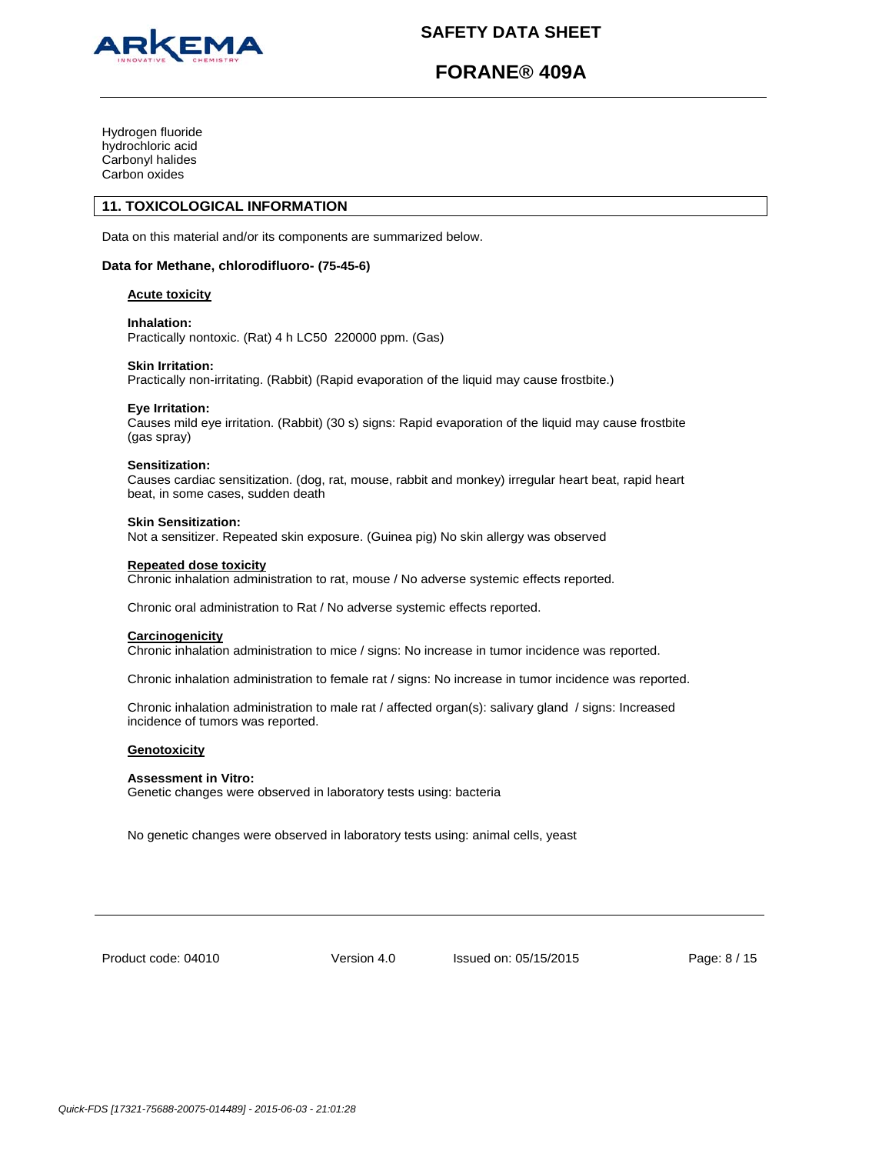

# **FORANE® 409A**

Hydrogen fluoride hydrochloric acid Carbonyl halides Carbon oxides

## **11. TOXICOLOGICAL INFORMATION**

Data on this material and/or its components are summarized below.

### **Data for Methane, chlorodifluoro- (75-45-6)**

#### **Acute toxicity**

#### **Inhalation:**

Practically nontoxic. (Rat) 4 h LC50 220000 ppm. (Gas)

#### **Skin Irritation:**

Practically non-irritating. (Rabbit) (Rapid evaporation of the liquid may cause frostbite.)

### **Eye Irritation:**

Causes mild eye irritation. (Rabbit) (30 s) signs: Rapid evaporation of the liquid may cause frostbite (gas spray)

#### **Sensitization:**

Causes cardiac sensitization. (dog, rat, mouse, rabbit and monkey) irregular heart beat, rapid heart beat, in some cases, sudden death

#### **Skin Sensitization:**

Not a sensitizer. Repeated skin exposure. (Guinea pig) No skin allergy was observed

#### **Repeated dose toxicity**

Chronic inhalation administration to rat, mouse / No adverse systemic effects reported.

Chronic oral administration to Rat / No adverse systemic effects reported.

#### **Carcinogenicity**

Chronic inhalation administration to mice / signs: No increase in tumor incidence was reported.

Chronic inhalation administration to female rat / signs: No increase in tumor incidence was reported.

Chronic inhalation administration to male rat / affected organ(s): salivary gland / signs: Increased incidence of tumors was reported.

#### **Genotoxicity**

## **Assessment in Vitro:**

Genetic changes were observed in laboratory tests using: bacteria

No genetic changes were observed in laboratory tests using: animal cells, yeast

Product code: 04010

Version 4.0 Issued on: 05/15/2015 Page: 8 / 15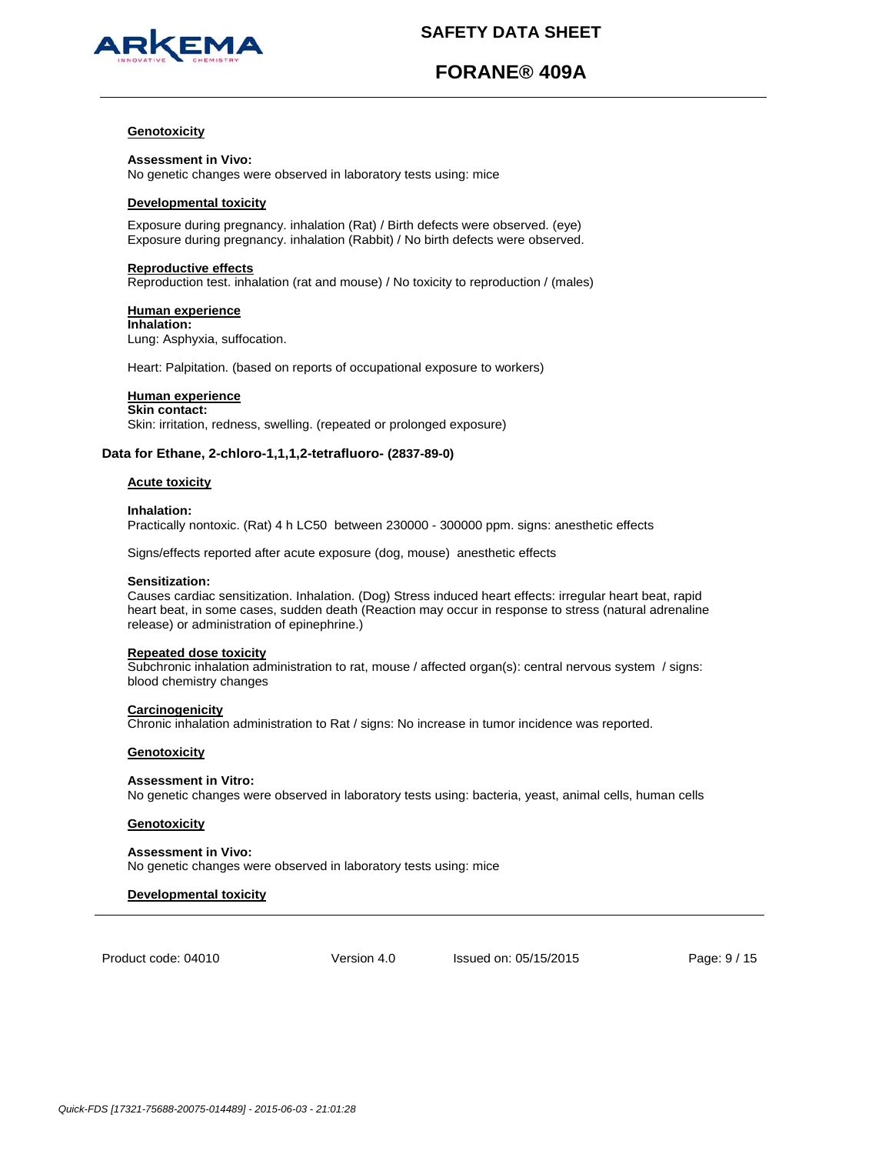

# **FORANE® 409A**

### **Genotoxicity**

**Assessment in Vivo:** No genetic changes were observed in laboratory tests using: mice

#### **Developmental toxicity**

Exposure during pregnancy. inhalation (Rat) / Birth defects were observed. (eye) Exposure during pregnancy. inhalation (Rabbit) / No birth defects were observed.

#### **Reproductive effects**

Reproduction test. inhalation (rat and mouse) / No toxicity to reproduction / (males)

## **Human experience**

**Inhalation:** Lung: Asphyxia, suffocation.

Heart: Palpitation. (based on reports of occupational exposure to workers)

## **Human experience**

**Skin contact:** Skin: irritation, redness, swelling. (repeated or prolonged exposure)

## **Data for Ethane, 2-chloro-1,1,1,2-tetrafluoro- (2837-89-0)**

## **Acute toxicity**

#### **Inhalation:**

Practically nontoxic. (Rat) 4 h LC50 between 230000 - 300000 ppm. signs: anesthetic effects

Signs/effects reported after acute exposure (dog, mouse) anesthetic effects

### **Sensitization:**

Causes cardiac sensitization. Inhalation. (Dog) Stress induced heart effects: irregular heart beat, rapid heart beat, in some cases, sudden death (Reaction may occur in response to stress (natural adrenaline release) or administration of epinephrine.)

## **Repeated dose toxicity**

Subchronic inhalation administration to rat, mouse / affected organ(s): central nervous system / signs: blood chemistry changes

#### **Carcinogenicity**

Chronic inhalation administration to Rat / signs: No increase in tumor incidence was reported.

## **Genotoxicity**

## **Assessment in Vitro:**

No genetic changes were observed in laboratory tests using: bacteria, yeast, animal cells, human cells

## **Genotoxicity**

**Assessment in Vivo:** No genetic changes were observed in laboratory tests using: mice

## **Developmental toxicity**

Product code: 04010

Version 4.0 Issued on: 05/15/2015 Page: 9 / 15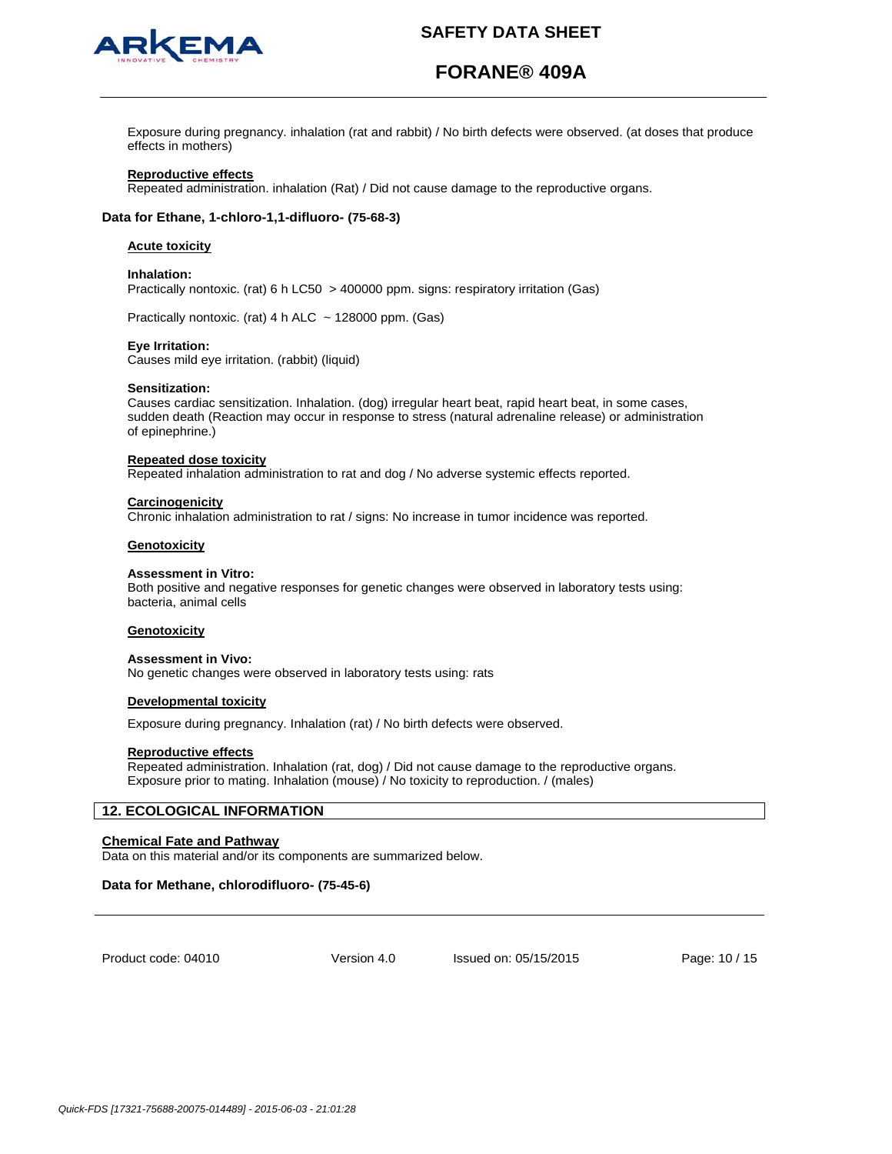

# **FORANE® 409A**

Exposure during pregnancy. inhalation (rat and rabbit) / No birth defects were observed. (at doses that produce effects in mothers)

## **Reproductive effects**

Repeated administration. inhalation (Rat) / Did not cause damage to the reproductive organs.

### **Data for Ethane, 1-chloro-1,1-difluoro- (75-68-3)**

## **Acute toxicity**

## **Inhalation:**

Practically nontoxic. (rat) 6 h LC50 > 400000 ppm. signs: respiratory irritation (Gas)

Practically nontoxic. (rat) 4 h ALC  $\sim$  128000 ppm. (Gas)

#### **Eye Irritation:**

Causes mild eye irritation. (rabbit) (liquid)

#### **Sensitization:**

Causes cardiac sensitization. Inhalation. (dog) irregular heart beat, rapid heart beat, in some cases, sudden death (Reaction may occur in response to stress (natural adrenaline release) or administration of epinephrine.)

#### **Repeated dose toxicity**

Repeated inhalation administration to rat and dog / No adverse systemic effects reported.

#### **Carcinogenicity**

Chronic inhalation administration to rat / signs: No increase in tumor incidence was reported.

#### **Genotoxicity**

#### **Assessment in Vitro:**

Both positive and negative responses for genetic changes were observed in laboratory tests using: bacteria, animal cells

#### **Genotoxicity**

#### **Assessment in Vivo:**

No genetic changes were observed in laboratory tests using: rats

#### **Developmental toxicity**

Exposure during pregnancy. Inhalation (rat) / No birth defects were observed.

#### **Reproductive effects**

Repeated administration. Inhalation (rat, dog) / Did not cause damage to the reproductive organs. Exposure prior to mating. Inhalation (mouse) / No toxicity to reproduction. / (males)

### **12. ECOLOGICAL INFORMATION**

### **Chemical Fate and Pathway**

Data on this material and/or its components are summarized below.

#### **Data for Methane, chlorodifluoro- (75-45-6)**

Product code: 04010

Version 4.0 Issued on: 05/15/2015 Page: 10 / 15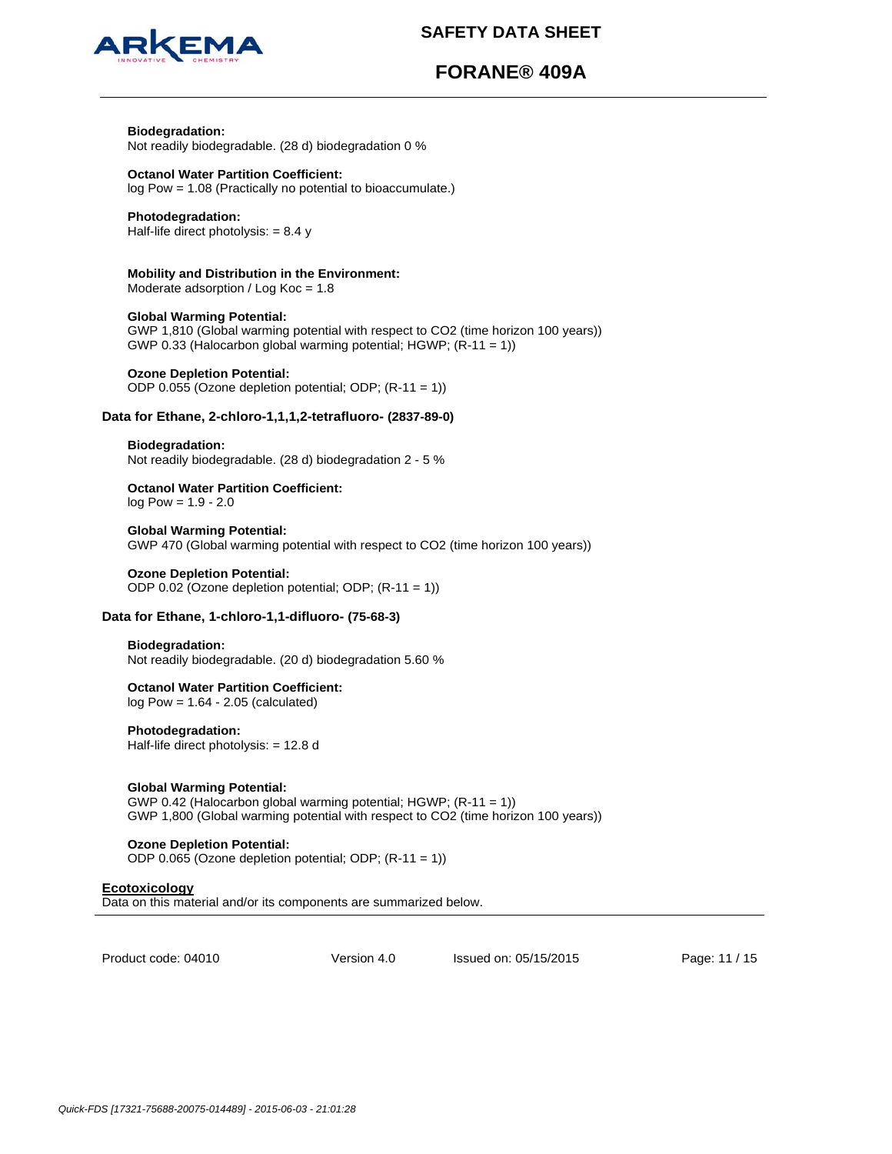

# **FORANE® 409A**

# **Biodegradation:**

Not readily biodegradable. (28 d) biodegradation 0 %

### **Octanol Water Partition Coefficient:**  log Pow = 1.08 (Practically no potential to bioaccumulate.)

## **Photodegradation:**

Half-life direct photolysis:  $= 8.4 y$ 

### **Mobility and Distribution in the Environment:**  Moderate adsorption / Log Koc = 1.8

**Global Warming Potential:**  GWP 1,810 (Global warming potential with respect to CO2 (time horizon 100 years)) GWP 0.33 (Halocarbon global warming potential; HGWP; (R-11 = 1))

## **Ozone Depletion Potential:**

ODP 0.055 (Ozone depletion potential; ODP; (R-11 = 1))

## **Data for Ethane, 2-chloro-1,1,1,2-tetrafluoro- (2837-89-0)**

#### **Biodegradation:** Not readily biodegradable. (28 d) biodegradation 2 - 5 %

# **Octanol Water Partition Coefficient:**

log Pow = 1.9 - 2.0

## **Global Warming Potential:**

GWP 470 (Global warming potential with respect to CO2 (time horizon 100 years))

## **Ozone Depletion Potential:**

ODP 0.02 (Ozone depletion potential; ODP; (R-11 = 1))

## **Data for Ethane, 1-chloro-1,1-difluoro- (75-68-3)**

## **Biodegradation:**

Not readily biodegradable. (20 d) biodegradation 5.60 %

## **Octanol Water Partition Coefficient:**

log Pow = 1.64 - 2.05 (calculated)

## **Photodegradation:**

Half-life direct photolysis: = 12.8 d

## **Global Warming Potential:**

GWP 0.42 (Halocarbon global warming potential; HGWP; (R-11 = 1)) GWP 1,800 (Global warming potential with respect to CO2 (time horizon 100 years))

## **Ozone Depletion Potential:**

ODP 0.065 (Ozone depletion potential; ODP; (R-11 = 1))

## **Ecotoxicology**

Data on this material and/or its components are summarized below.

Product code: 04010

Version 4.0 Issued on: 05/15/2015 Page: 11 / 15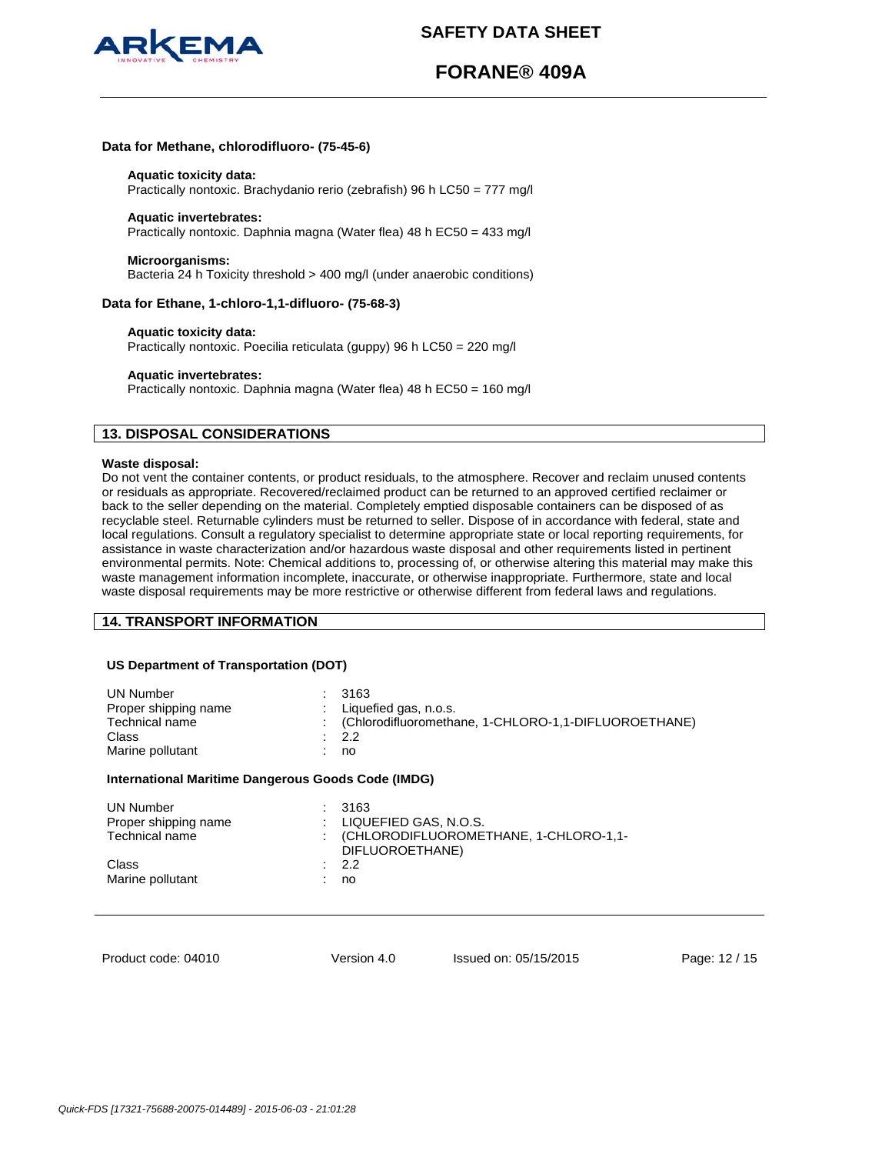

# **FORANE® 409A**

#### **Data for Methane, chlorodifluoro- (75-45-6)**

#### **Aquatic toxicity data:**

Practically nontoxic. Brachydanio rerio (zebrafish) 96 h LC50 = 777 mg/l

### **Aquatic invertebrates:**

Practically nontoxic. Daphnia magna (Water flea) 48 h EC50 = 433 mg/l

#### **Microorganisms:**

Bacteria 24 h Toxicity threshold > 400 mg/l (under anaerobic conditions)

## **Data for Ethane, 1-chloro-1,1-difluoro- (75-68-3)**

#### **Aquatic toxicity data:**

Practically nontoxic. Poecilia reticulata (guppy) 96 h LC50 = 220 mg/l

#### **Aquatic invertebrates:**

Practically nontoxic. Daphnia magna (Water flea) 48 h EC50 = 160 mg/l

## **13. DISPOSAL CONSIDERATIONS**

#### **Waste disposal:**

Do not vent the container contents, or product residuals, to the atmosphere. Recover and reclaim unused contents or residuals as appropriate. Recovered/reclaimed product can be returned to an approved certified reclaimer or back to the seller depending on the material. Completely emptied disposable containers can be disposed of as recyclable steel. Returnable cylinders must be returned to seller. Dispose of in accordance with federal, state and local regulations. Consult a regulatory specialist to determine appropriate state or local reporting requirements, for assistance in waste characterization and/or hazardous waste disposal and other requirements listed in pertinent environmental permits. Note: Chemical additions to, processing of, or otherwise altering this material may make this waste management information incomplete, inaccurate, or otherwise inappropriate. Furthermore, state and local waste disposal requirements may be more restrictive or otherwise different from federal laws and regulations.

## **14. TRANSPORT INFORMATION**

## **US Department of Transportation (DOT)**

| <b>UN Number</b>     | 3163                                                   |
|----------------------|--------------------------------------------------------|
| Proper shipping name | Liquefied gas, n.o.s.                                  |
| Technical name       | : (Chlorodifluoromethane, 1-CHLORO-1,1-DIFLUOROETHANE) |
| Class                | : 2.2                                                  |
| Marine pollutant     | no                                                     |
| .                    |                                                        |

#### **International Maritime Dangerous Goods Code (IMDG)**

| UN Number<br>Proper shipping name<br>Technical name | $\therefore$ 3163<br>$\pm$ LIQUEFIED GAS, N.O.S.<br>: (CHLORODIFLUOROMETHANE, 1-CHLORO-1,1-<br>DIFLUOROETHANE) |
|-----------------------------------------------------|----------------------------------------------------------------------------------------------------------------|
| Class<br>Marine pollutant                           | : 2.2<br>no                                                                                                    |

Product code: 04010

Version 4.0 Issued on: 05/15/2015 Page: 12 / 15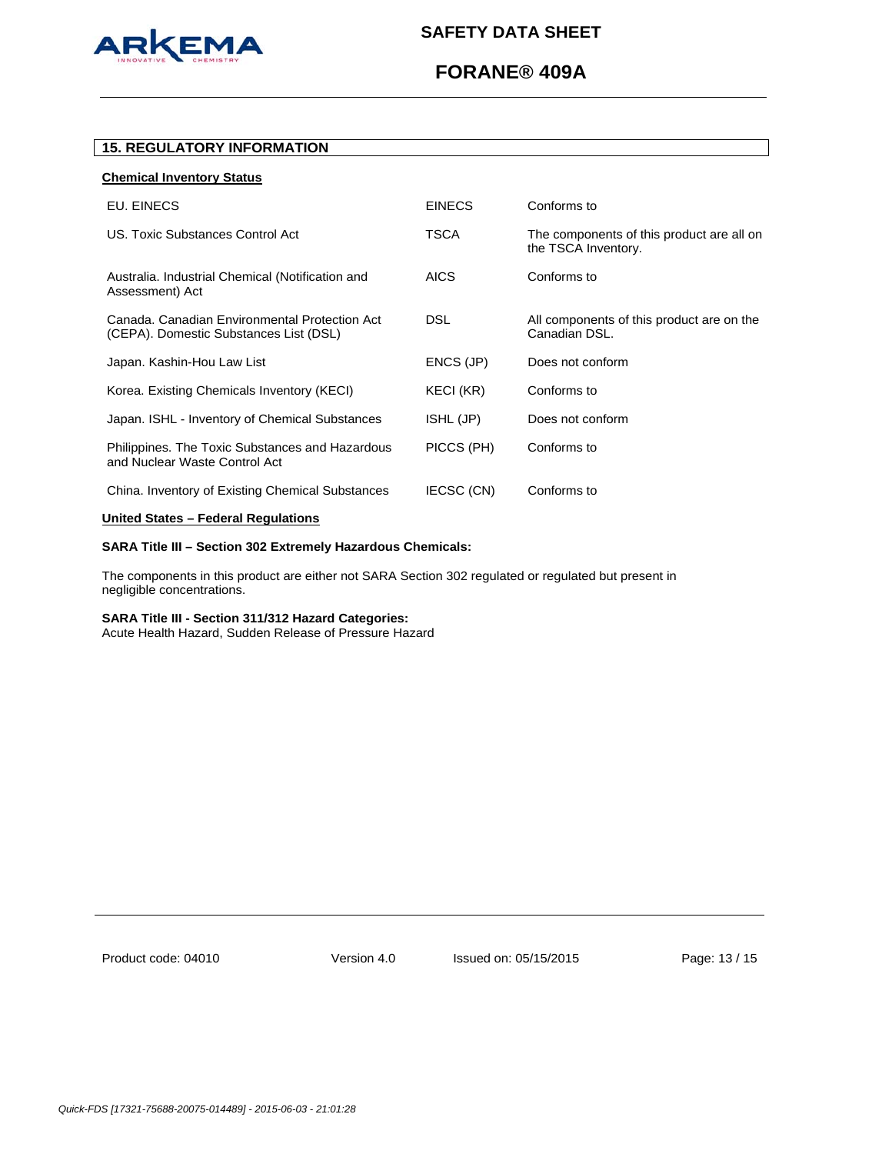

# **FORANE® 409A**

## **15. REGULATORY INFORMATION**

## **Chemical Inventory Status**

| EU. EINECS                                                                              | <b>EINECS</b> | Conforms to                                                      |
|-----------------------------------------------------------------------------------------|---------------|------------------------------------------------------------------|
| US. Toxic Substances Control Act                                                        | TSCA          | The components of this product are all on<br>the TSCA Inventory. |
| Australia. Industrial Chemical (Notification and<br>Assessment) Act                     | <b>AICS</b>   | Conforms to                                                      |
| Canada, Canadian Environmental Protection Act<br>(CEPA). Domestic Substances List (DSL) | <b>DSL</b>    | All components of this product are on the<br>Canadian DSL.       |
| Japan. Kashin-Hou Law List                                                              | ENCS (JP)     | Does not conform                                                 |
| Korea. Existing Chemicals Inventory (KECI)                                              | KECI (KR)     | Conforms to                                                      |
| Japan. ISHL - Inventory of Chemical Substances                                          | ISHL (JP)     | Does not conform                                                 |
| Philippines. The Toxic Substances and Hazardous<br>and Nuclear Waste Control Act        | PICCS (PH)    | Conforms to                                                      |
| China. Inventory of Existing Chemical Substances                                        | IECSC (CN)    | Conforms to                                                      |
|                                                                                         |               |                                                                  |

## **United States – Federal Regulations**

## **SARA Title III – Section 302 Extremely Hazardous Chemicals:**

The components in this product are either not SARA Section 302 regulated or regulated but present in negligible concentrations.

## **SARA Title III - Section 311/312 Hazard Categories:**

Acute Health Hazard, Sudden Release of Pressure Hazard

Product code: 04010

Version 4.0 Issued on: 05/15/2015 Page: 13 / 15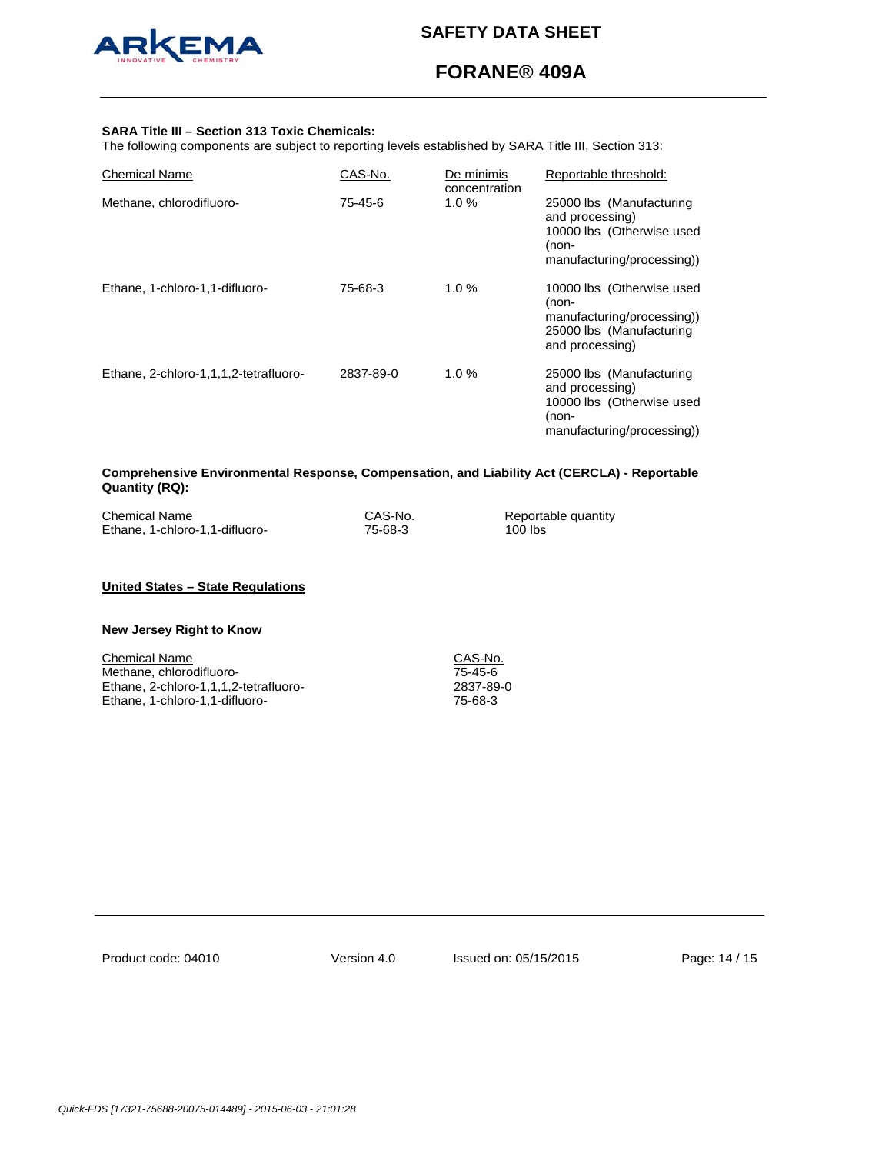

# **FORANE® 409A**

### **SARA Title III – Section 313 Toxic Chemicals:**

The following components are subject to reporting levels established by SARA Title III, Section 313:

| <b>Chemical Name</b>                  | CAS-No.   | De minimis<br>concentration | Reportable threshold:                                                                                           |
|---------------------------------------|-----------|-----------------------------|-----------------------------------------------------------------------------------------------------------------|
| Methane, chlorodifluoro-              | 75-45-6   | $1.0 \%$                    | 25000 lbs (Manufacturing<br>and processing)<br>10000 lbs (Otherwise used<br>(non-<br>manufacturing/processing)) |
| Ethane, 1-chloro-1,1-difluoro-        | 75-68-3   | $1.0 \%$                    | 10000 lbs (Otherwise used<br>(non-<br>manufacturing/processing))<br>25000 lbs (Manufacturing<br>and processing) |
| Ethane, 2-chloro-1,1,1,2-tetrafluoro- | 2837-89-0 | 1.0%                        | 25000 lbs (Manufacturing<br>and processing)<br>10000 lbs (Otherwise used<br>(non-<br>manufacturing/processing)) |

## **Comprehensive Environmental Response, Compensation, and Liability Act (CERCLA) - Reportable Quantity (RQ):**

| <b>Chemical Name</b>           | CAS-No. | Reportable quantity |
|--------------------------------|---------|---------------------|
| Ethane, 1-chloro-1,1-difluoro- | 75-68-3 | 100 lbs             |

## **United States – State Regulations**

### **New Jersey Right to Know**

Chemical Name<br>
Methane, chlorodifluoro-<br>
T5-45-6 Methane, chlorodifluoro-<br>Ethane, 2-chloro-1,1,1,2-tetrafluoro-<br>2837-89-0 Ethane, 2-chloro-1,1,1,2-tetrafluoro-<br>
Ethane, 1-chloro-1,1-difluoro-<br>
75-68-3 Ethane, 1-chloro-1,1-difluoro-

Product code: 04010

Version 4.0 Issued on: 05/15/2015 Page: 14 / 15